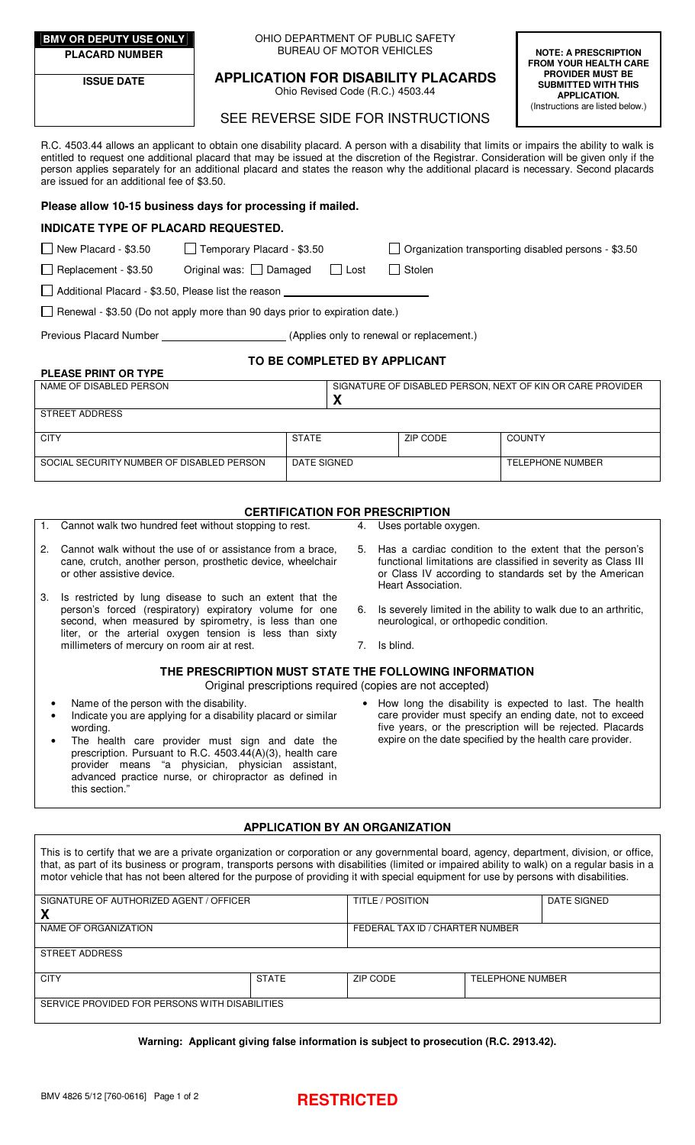**PLACARD NUMBER** 

**ISSUE DATE** 

### **BMV OR DEPUTY USE ONLY OHIO DEPARTMENT OF PUBLIC SAFETY** BUREAU OF MOTOR VEHICLES

**APPLICATION FOR DISABILITY PLACARDS**  Ohio Revised Code (R.C.) 4503.44

**FROM YOUR HEALTH CARE PROVIDER MUST BE SUBMITTED WITH THIS APPLICATION.**  (Instructions are listed below.)

**NOTE: A PRESCRIPTION** 

# SEE REVERSE SIDE FOR INSTRUCTIONS

R.C. 4503.44 allows an applicant to obtain one disability placard. A person with a disability that limits or impairs the ability to walk is entitled to request one additional placard that may be issued at the discretion of the Registrar. Consideration will be given only if the person applies separately for an additional placard and states the reason why the additional placard is necessary. Second placards are issued for an additional fee of \$3.50.

# **Please allow 10-15 business days for processing if mailed.**

# **INDICATE TYPE OF PLACARD REQUESTED.**

| $\Box$ New Placard - \$3.50 | Temporary Placard - \$ |
|-----------------------------|------------------------|

 $\Box$  3.50  $\Box$  Organization transporting disabled persons - \$3.50

 $\Box$  Replacement - \$3.50 Original was:  $\Box$  Damaged  $\Box$  Lost  $\Box$  Stolen

Additional Placard - \$3.50, Please list the reason

Ī Renewal - \$3.50 (Do not apply more than 90 days prior to expiration date.)

Previous Placard Number (Applies only to renewal or replacement.)

# **TO BE COMPLETED BY APPLICANT**

| <b>PLEASE PRINT OR TYPE</b>               |              |                                                            |          |                  |  |  |  |
|-------------------------------------------|--------------|------------------------------------------------------------|----------|------------------|--|--|--|
| NAME OF DISABLED PERSON                   |              | SIGNATURE OF DISABLED PERSON, NEXT OF KIN OR CARE PROVIDER |          |                  |  |  |  |
|                                           |              | $\boldsymbol{\Lambda}$                                     |          |                  |  |  |  |
| STREET ADDRESS                            |              |                                                            |          |                  |  |  |  |
|                                           |              |                                                            |          |                  |  |  |  |
| <b>CITY</b>                               | <b>STATE</b> |                                                            | ZIP CODE | <b>COUNTY</b>    |  |  |  |
|                                           |              |                                                            |          |                  |  |  |  |
| SOCIAL SECURITY NUMBER OF DISABLED PERSON |              | DATE SIGNED                                                |          | TELEPHONE NUMBER |  |  |  |
|                                           |              |                                                            |          |                  |  |  |  |

## **CERTIFICATION FOR PRESCRIPTION**

- 1. Cannot walk two hundred feet without stopping to rest.
- 2. Cannot walk without the use of or assistance from a brace, cane, crutch, another person, prosthetic device, wheelchair or other assistive device.
- 3. Is restricted by lung disease to such an extent that the person's forced (respiratory) expiratory volume for one second, when measured by spirometry, is less than one liter, or the arterial oxygen tension is less than sixty millimeters of mercury on room air at rest.
- 4. Uses portable oxygen.
- 5. Has a cardiac condition to the extent that the person's functional limitations are classified in severity as Class III or Class IV according to standards set by the American Heart Association.
- 6. Is severely limited in the ability to walk due to an arthritic, neurological, or orthopedic condition.
- 7. Is blind.

### **THE PRESCRIPTION MUST STATE THE FOLLOWING INFORMATION**  Original prescriptions required (copies are not accepted)

- Name of the person with the disability.
- Indicate you are applying for a disability placard or similar wording.
- The health care provider must sign and date the prescription. Pursuant to R.C. 4503.44(A)(3), health care provider means "a physician, physician assistant, advanced practice nurse, or chiropractor as defined in this section.
- How long the disability is expected to last. The health care provider must specify an ending date, not to exceed five years, or the prescription will be rejected. Placards expire on the date specified by the health care provider.

## **APPLICATION BY AN ORGANIZATION**

This is to certify that we are a private organization or corporation or any governmental board, agency, department, division, or office, that, as part of its business or program, transports persons with disabilities (limited or impaired ability to walk) on a regular basis in a motor vehicle that has not been altered for the purpose of providing it with special equipment for use by persons with disabilities.

| SIGNATURE OF AUTHORIZED AGENT / OFFICER        |              | <b>TITLE / POSITION</b>         |                         | DATE SIGNED |  |  |  |
|------------------------------------------------|--------------|---------------------------------|-------------------------|-------------|--|--|--|
| χ                                              |              |                                 |                         |             |  |  |  |
| NAME OF ORGANIZATION                           |              | FEDERAL TAX ID / CHARTER NUMBER |                         |             |  |  |  |
|                                                |              |                                 |                         |             |  |  |  |
| <b>STREET ADDRESS</b>                          |              |                                 |                         |             |  |  |  |
|                                                |              |                                 |                         |             |  |  |  |
| <b>CITY</b>                                    | <b>STATE</b> | ZIP CODE                        | <b>TELEPHONE NUMBER</b> |             |  |  |  |
|                                                |              |                                 |                         |             |  |  |  |
| SERVICE PROVIDED FOR PERSONS WITH DISABILITIES |              |                                 |                         |             |  |  |  |
|                                                |              |                                 |                         |             |  |  |  |

**Warning: Applicant giving false information is subject to prosecution (R.C. 2913.42).**